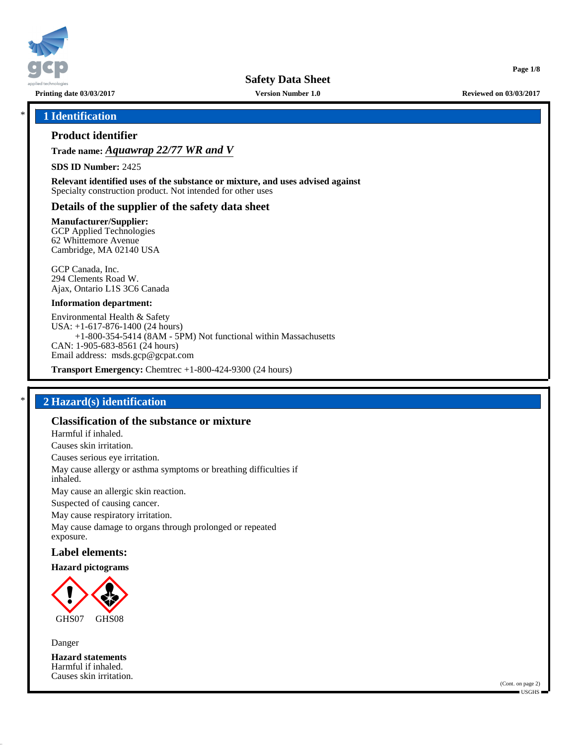

**Safety Data Sheet**

**Printing date 03/03/2017 Version Number 1.0 Reviewed on 03/03/2017**

**Page 1/8**

## \* **1 Identification**

## **Product identifier**

**Trade name:** *Aquawrap 22/77 WR and V*

**SDS ID Number:** 2425

**Relevant identified uses of the substance or mixture, and uses advised against** Specialty construction product. Not intended for other uses

### **Details of the supplier of the safety data sheet**

**Manufacturer/Supplier:**

GCP Applied Technologies 62 Whittemore Avenue Cambridge, MA 02140 USA

GCP Canada, Inc. 294 Clements Road W. Ajax, Ontario L1S 3C6 Canada

### **Information department:**

Environmental Health & Safety USA: +1-617-876-1400 (24 hours) +1-800-354-5414 (8AM - 5PM) Not functional within Massachusetts CAN: 1-905-683-8561 (24 hours) Email address: msds.gcp@gcpat.com

**Transport Emergency:** Chemtrec +1-800-424-9300 (24 hours)

# \* **2 Hazard(s) identification**

# **Classification of the substance or mixture**

Harmful if inhaled.

Causes skin irritation.

Causes serious eye irritation.

May cause allergy or asthma symptoms or breathing difficulties if inhaled.

May cause an allergic skin reaction.

Suspected of causing cancer.

May cause respiratory irritation.

May cause damage to organs through prolonged or repeated exposure.

### **Label elements:**

### **Hazard pictograms**



Danger

**Hazard statements** Harmful if inhaled. Causes skin irritation.

(Cont. on page 2) USGHS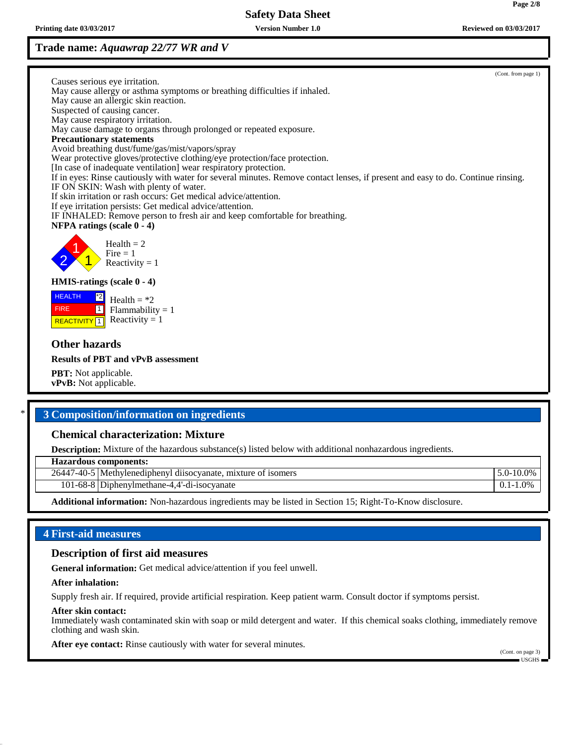# **Trade name:** *Aquawrap 22/77 WR and V*

(Cont. from page 1) Causes serious eye irritation. May cause allergy or asthma symptoms or breathing difficulties if inhaled. May cause an allergic skin reaction. Suspected of causing cancer. May cause respiratory irritation. May cause damage to organs through prolonged or repeated exposure. **Precautionary statements** Avoid breathing dust/fume/gas/mist/vapors/spray Wear protective gloves/protective clothing/eye protection/face protection. [In case of inadequate ventilation] wear respiratory protection. If in eyes: Rinse cautiously with water for several minutes. Remove contact lenses, if present and easy to do. Continue rinsing. IF ON SKIN: Wash with plenty of water. If skin irritation or rash occurs: Get medical advice/attention. If eye irritation persists: Get medical advice/attention. IF INHALED: Remove person to fresh air and keep comfortable for breathing. **NFPA ratings (scale 0 - 4)** 2 1 1  $Health = 2$  $Fire = 1$ Reactivity  $= 1$ **HMIS-ratings (scale 0 - 4)** HEALTH FIRE **REACTIVITY** 1  $|z^*2|$ 1 Health  $=$  \*2  $Flammability = 1$ Reactivity  $= 1$ **Other hazards Results of PBT and vPvB assessment PBT:** Not applicable. **vPvB:** Not applicable.

# \* **3 Composition/information on ingredients**

### **Chemical characterization: Mixture**

**Description:** Mixture of the hazardous substance(s) listed below with additional nonhazardous ingredients.

**Hazardous components:**

26447-40-5 Methylenediphenyl diisocyanate, mixture of isomers 5.0-10.0%

101-68-8 Diphenylmethane-4,4'-di-isocyanate 0.1-1.0%

**Additional information:** Non-hazardous ingredients may be listed in Section 15; Right-To-Know disclosure.

## **4 First-aid measures**

### **Description of first aid measures**

**General information:** Get medical advice/attention if you feel unwell.

#### **After inhalation:**

Supply fresh air. If required, provide artificial respiration. Keep patient warm. Consult doctor if symptoms persist.

### **After skin contact:**

Immediately wash contaminated skin with soap or mild detergent and water. If this chemical soaks clothing, immediately remove clothing and wash skin.

**After eye contact:** Rinse cautiously with water for several minutes.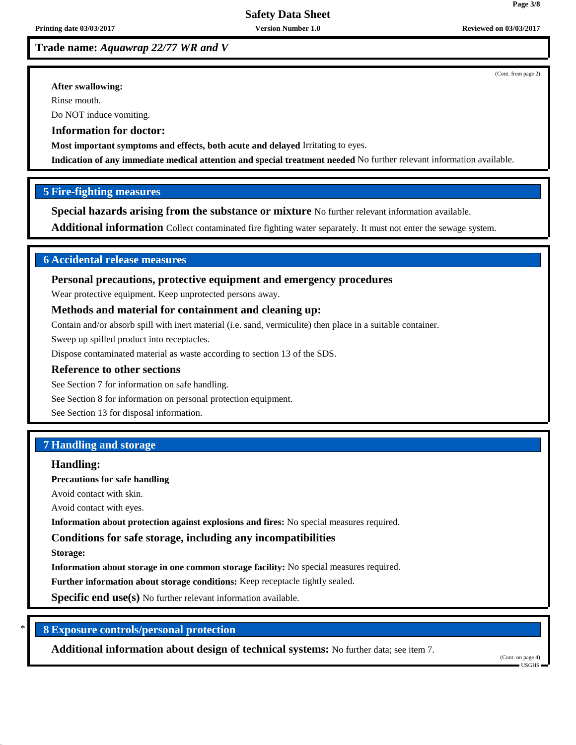# **Trade name:** *Aquawrap 22/77 WR and V*

(Cont. from page 2)

**Page 3/8**

### **After swallowing:**

Rinse mouth.

Do NOT induce vomiting.

## **Information for doctor:**

**Most important symptoms and effects, both acute and delayed** Irritating to eyes.

**Indication of any immediate medical attention and special treatment needed** No further relevant information available.

## **5 Fire-fighting measures**

**Special hazards arising from the substance or mixture** No further relevant information available.

**Additional information** Collect contaminated fire fighting water separately. It must not enter the sewage system.

# **6 Accidental release measures**

## **Personal precautions, protective equipment and emergency procedures**

Wear protective equipment. Keep unprotected persons away.

## **Methods and material for containment and cleaning up:**

Contain and/or absorb spill with inert material (i.e. sand, vermiculite) then place in a suitable container.

Sweep up spilled product into receptacles.

Dispose contaminated material as waste according to section 13 of the SDS.

### **Reference to other sections**

See Section 7 for information on safe handling.

See Section 8 for information on personal protection equipment.

See Section 13 for disposal information.

## **7 Handling and storage**

# **Handling:**

**Precautions for safe handling**

Avoid contact with skin.

Avoid contact with eyes.

**Information about protection against explosions and fires:** No special measures required.

## **Conditions for safe storage, including any incompatibilities**

**Storage:**

**Information about storage in one common storage facility:** No special measures required.

**Further information about storage conditions:** Keep receptacle tightly sealed.

**Specific end use(s)** No further relevant information available.

# \* **8 Exposure controls/personal protection**

**Additional information about design of technical systems:** No further data; see item 7.

(Cont. on page 4) USGHS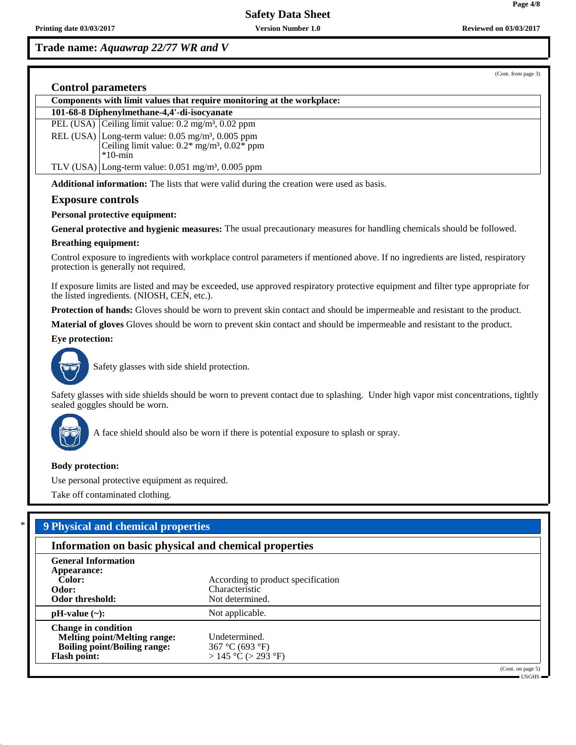# **Safety Data Sheet**

# **Trade name:** *Aquawrap 22/77 WR and V*

(Cont. from page 3)

## **Control parameters**

| Components with limit values that require monitoring at the workplace: |                                                                          |  |  |  |
|------------------------------------------------------------------------|--------------------------------------------------------------------------|--|--|--|
| 101-68-8 Diphenylmethane-4,4'-di-isocyanate                            |                                                                          |  |  |  |
|                                                                        | PEL (USA) Ceiling limit value: $0.2 \text{ mg/m}^3$ , $0.02 \text{ ppm}$ |  |  |  |
|                                                                        | REL (USA) Long-term value: $0.05 \text{ mg/m}^3$ , $0.005 \text{ ppm}$   |  |  |  |
|                                                                        | Ceiling limit value: $0.2^*$ mg/m <sup>3</sup> , $0.02^*$ ppm            |  |  |  |
|                                                                        | $*10$ -min                                                               |  |  |  |
|                                                                        | TLV (USA) Long-term value: $0.051$ mg/m <sup>3</sup> , $0.005$ ppm       |  |  |  |

**Additional information:** The lists that were valid during the creation were used as basis.

### **Exposure controls**

### **Personal protective equipment:**

**General protective and hygienic measures:** The usual precautionary measures for handling chemicals should be followed.

### **Breathing equipment:**

Control exposure to ingredients with workplace control parameters if mentioned above. If no ingredients are listed, respiratory protection is generally not required.

If exposure limits are listed and may be exceeded, use approved respiratory protective equipment and filter type appropriate for the listed ingredients. (NIOSH, CEN, etc.).

**Protection of hands:** Gloves should be worn to prevent skin contact and should be impermeable and resistant to the product.

**Material of gloves** Gloves should be worn to prevent skin contact and should be impermeable and resistant to the product.

### **Eye protection:**



Safety glasses with side shield protection.

Safety glasses with side shields should be worn to prevent contact due to splashing. Under high vapor mist concentrations, tightly sealed goggles should be worn.



A face shield should also be worn if there is potential exposure to splash or spray.

### **Body protection:**

Use personal protective equipment as required.

Take off contaminated clothing.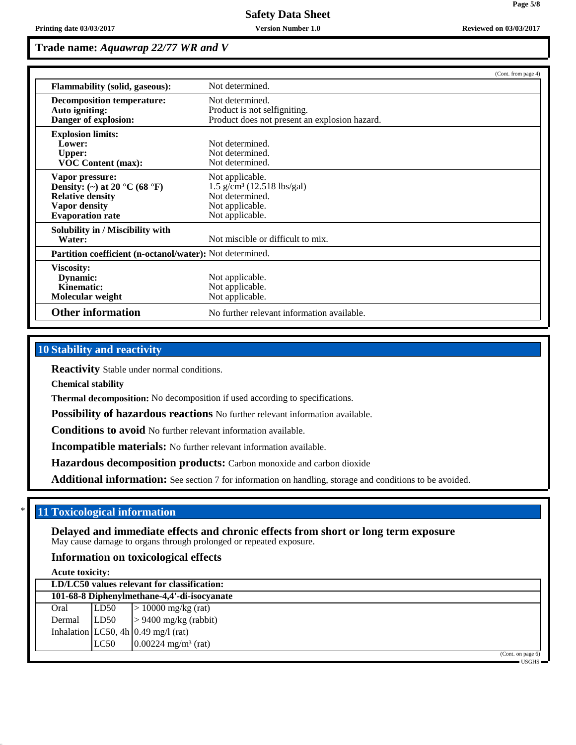**Page 5/8**

# **Trade name:** *Aquawrap 22/77 WR and V*

|                                                                                                                                             | (Cont. from page 4)                                                                                                  |  |  |  |  |
|---------------------------------------------------------------------------------------------------------------------------------------------|----------------------------------------------------------------------------------------------------------------------|--|--|--|--|
| <b>Flammability (solid, gaseous):</b>                                                                                                       | Not determined.                                                                                                      |  |  |  |  |
| <b>Decomposition temperature:</b><br>Auto igniting:<br>Danger of explosion:                                                                 | Not determined.<br>Product is not selfigniting.<br>Product does not present an explosion hazard.                     |  |  |  |  |
| <b>Explosion limits:</b><br>Lower:<br><b>Upper:</b><br><b>VOC Content (max):</b>                                                            | Not determined.<br>Not determined.<br>Not determined.                                                                |  |  |  |  |
| Vapor pressure:<br>Density: (~) at 20 $^{\circ}$ C (68 $^{\circ}$ F)<br><b>Relative density</b><br>Vapor density<br><b>Evaporation rate</b> | Not applicable.<br>$1.5$ g/cm <sup>3</sup> (12.518 lbs/gal)<br>Not determined.<br>Not applicable.<br>Not applicable. |  |  |  |  |
| Solubility in / Miscibility with<br>Water:                                                                                                  | Not miscible or difficult to mix.                                                                                    |  |  |  |  |
| Partition coefficient (n-octanol/water): Not determined.                                                                                    |                                                                                                                      |  |  |  |  |
| Viscosity:<br>Dynamic:<br>Kinematic:<br>Molecular weight                                                                                    | Not applicable.<br>Not applicable.<br>Not applicable.                                                                |  |  |  |  |
| <b>Other information</b>                                                                                                                    | No further relevant information available.                                                                           |  |  |  |  |

# **10 Stability and reactivity**

**Reactivity** Stable under normal conditions.

**Chemical stability**

**Thermal decomposition:** No decomposition if used according to specifications.

**Possibility of hazardous reactions** No further relevant information available.

**Conditions to avoid** No further relevant information available.

**Incompatible materials:** No further relevant information available.

**Hazardous decomposition products:** Carbon monoxide and carbon dioxide

**Additional information:** See section 7 for information on handling, storage and conditions to be avoided.

# **11 Toxicological information**

**Delayed and immediate effects and chronic effects from short or long term exposure** May cause damage to organs through prolonged or repeated exposure.

## **Information on toxicological effects**

**Acute toxicity:**

| LD/LC50 values relevant for classification: |      |                                       |  |  |  |
|---------------------------------------------|------|---------------------------------------|--|--|--|
| 101-68-8 Diphenylmethane-4,4'-di-isocyanate |      |                                       |  |  |  |
| Oral                                        | LD50 | $> 10000$ mg/kg (rat)                 |  |  |  |
| Dermal                                      | LD50 | $> 9400$ mg/kg (rabbit)               |  |  |  |
|                                             |      | Inhalation LC50, 4h $0.49$ mg/l (rat) |  |  |  |
|                                             | LC50 | $0.00224$ mg/m <sup>3</sup> (rat)     |  |  |  |
|                                             |      | (Cont. on page 6)                     |  |  |  |

USGHS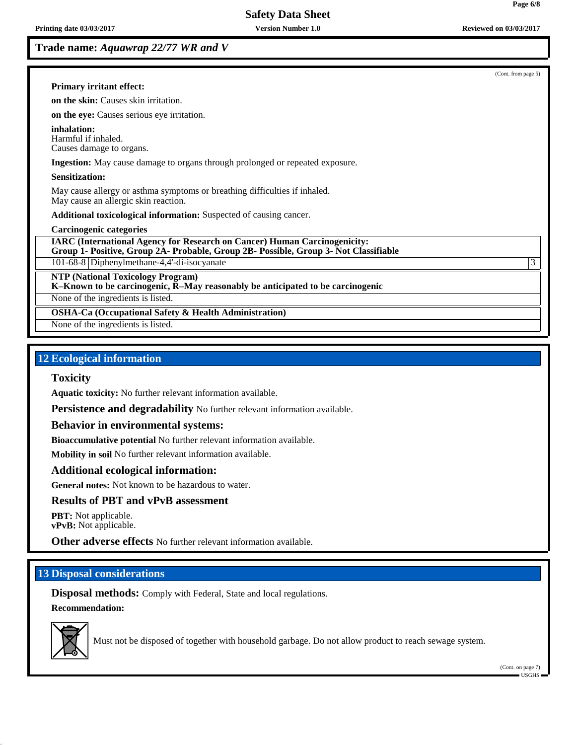**Trade name:** *Aquawrap 22/77 WR and V*

(Cont. from page 5)

### **Primary irritant effect:**

**on the skin:** Causes skin irritation.

**on the eye:** Causes serious eye irritation.

**inhalation:** Harmful if inhaled. Causes damage to organs.

**Ingestion:** May cause damage to organs through prolonged or repeated exposure.

### **Sensitization:**

May cause allergy or asthma symptoms or breathing difficulties if inhaled. May cause an allergic skin reaction.

**Additional toxicological information:** Suspected of causing cancer.

#### **Carcinogenic categories**

**IARC (International Agency for Research on Cancer) Human Carcinogenicity: Group 1- Positive, Group 2A- Probable, Group 2B- Possible, Group 3- Not Classifiable**

101-68-8 Diphenylmethane-4,4'-di-isocyanate 3

**NTP (National Toxicology Program)**

**K–Known to be carcinogenic, R–May reasonably be anticipated to be carcinogenic**

None of the ingredients is listed.

**OSHA-Ca (Occupational Safety & Health Administration)**

None of the ingredients is listed.

# **12 Ecological information**

### **Toxicity**

**Aquatic toxicity:** No further relevant information available.

**Persistence and degradability** No further relevant information available.

### **Behavior in environmental systems:**

**Bioaccumulative potential** No further relevant information available.

**Mobility in soil** No further relevant information available.

## **Additional ecological information:**

**General notes:** Not known to be hazardous to water.

## **Results of PBT and vPvB assessment**

**PBT:** Not applicable. **vPvB:** Not applicable.

**Other adverse effects** No further relevant information available.

# **13 Disposal considerations**

**Disposal methods:** Comply with Federal, State and local regulations. **Recommendation:**



Must not be disposed of together with household garbage. Do not allow product to reach sewage system.

(Cont. on page 7) USGHS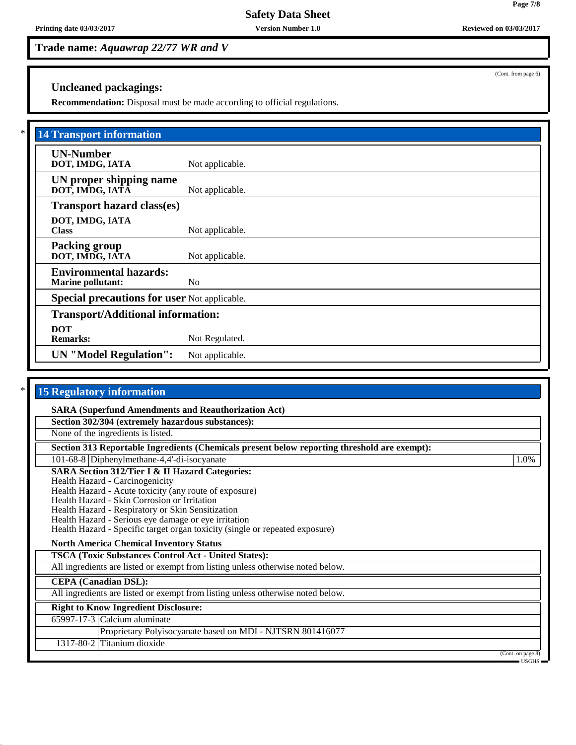**Safety Data Sheet**

**Printing date 03/03/2017 Version Number 1.0 Reviewed on 03/03/2017**

**Trade name:** *Aquawrap 22/77 WR and V*

**Uncleaned packagings:**

**Recommendation:** Disposal must be made according to official regulations.

| <b>14 Transport information</b>                           |                 |  |  |  |
|-----------------------------------------------------------|-----------------|--|--|--|
| <b>UN-Number</b><br>DOT, IMDG, IATA                       | Not applicable. |  |  |  |
| UN proper shipping name<br>DOT, IMDG, IATA                | Not applicable. |  |  |  |
| <b>Transport hazard class(es)</b>                         |                 |  |  |  |
| DOT, IMDG, IATA<br><b>Class</b>                           | Not applicable. |  |  |  |
| <b>Packing group</b><br>DOT, IMDG, IATA                   | Not applicable. |  |  |  |
| <b>Environmental hazards:</b><br><b>Marine pollutant:</b> | N <sub>0</sub>  |  |  |  |
| <b>Special precautions for user Not applicable.</b>       |                 |  |  |  |
| <b>Transport/Additional information:</b>                  |                 |  |  |  |
| <b>DOT</b><br><b>Remarks:</b>                             | Not Regulated.  |  |  |  |
| <b>UN</b> "Model Regulation":                             | Not applicable. |  |  |  |

| *<br><b>15 Regulatory information</b>                                                                                                                                                                                                                                                                                                                                                                                                                  |                                    |
|--------------------------------------------------------------------------------------------------------------------------------------------------------------------------------------------------------------------------------------------------------------------------------------------------------------------------------------------------------------------------------------------------------------------------------------------------------|------------------------------------|
| <b>SARA (Superfund Amendments and Reauthorization Act)</b>                                                                                                                                                                                                                                                                                                                                                                                             |                                    |
| Section 302/304 (extremely hazardous substances):                                                                                                                                                                                                                                                                                                                                                                                                      |                                    |
| None of the ingredients is listed.                                                                                                                                                                                                                                                                                                                                                                                                                     |                                    |
| Section 313 Reportable Ingredients (Chemicals present below reporting threshold are exempt):                                                                                                                                                                                                                                                                                                                                                           |                                    |
| 101-68-8 Diphenylmethane-4,4'-di-isocyanate                                                                                                                                                                                                                                                                                                                                                                                                            | 1.0%                               |
| <b>SARA Section 312/Tier I &amp; II Hazard Categories:</b><br>Health Hazard - Carcinogenicity<br>Health Hazard - Acute toxicity (any route of exposure)<br>Health Hazard - Skin Corrosion or Irritation<br>Health Hazard - Respiratory or Skin Sensitization<br>Health Hazard - Serious eye damage or eye irritation<br>Health Hazard - Specific target organ toxicity (single or repeated exposure)<br><b>North America Chemical Inventory Status</b> |                                    |
| <b>TSCA (Toxic Substances Control Act - United States):</b>                                                                                                                                                                                                                                                                                                                                                                                            |                                    |
| All ingredients are listed or exempt from listing unless otherwise noted below.                                                                                                                                                                                                                                                                                                                                                                        |                                    |
| <b>CEPA</b> (Canadian DSL):                                                                                                                                                                                                                                                                                                                                                                                                                            |                                    |
| All ingredients are listed or exempt from listing unless otherwise noted below.                                                                                                                                                                                                                                                                                                                                                                        |                                    |
| <b>Right to Know Ingredient Disclosure:</b>                                                                                                                                                                                                                                                                                                                                                                                                            |                                    |
| $65997-17-3$ Calcium aluminate                                                                                                                                                                                                                                                                                                                                                                                                                         |                                    |
| Proprietary Polyisocyanate based on MDI - NJTSRN 801416077                                                                                                                                                                                                                                                                                                                                                                                             |                                    |
| 1317-80-2 Titanium dioxide                                                                                                                                                                                                                                                                                                                                                                                                                             |                                    |
|                                                                                                                                                                                                                                                                                                                                                                                                                                                        | (Cont. on page 8)<br>$-$ USGHS $-$ |

(Cont. from page 6)